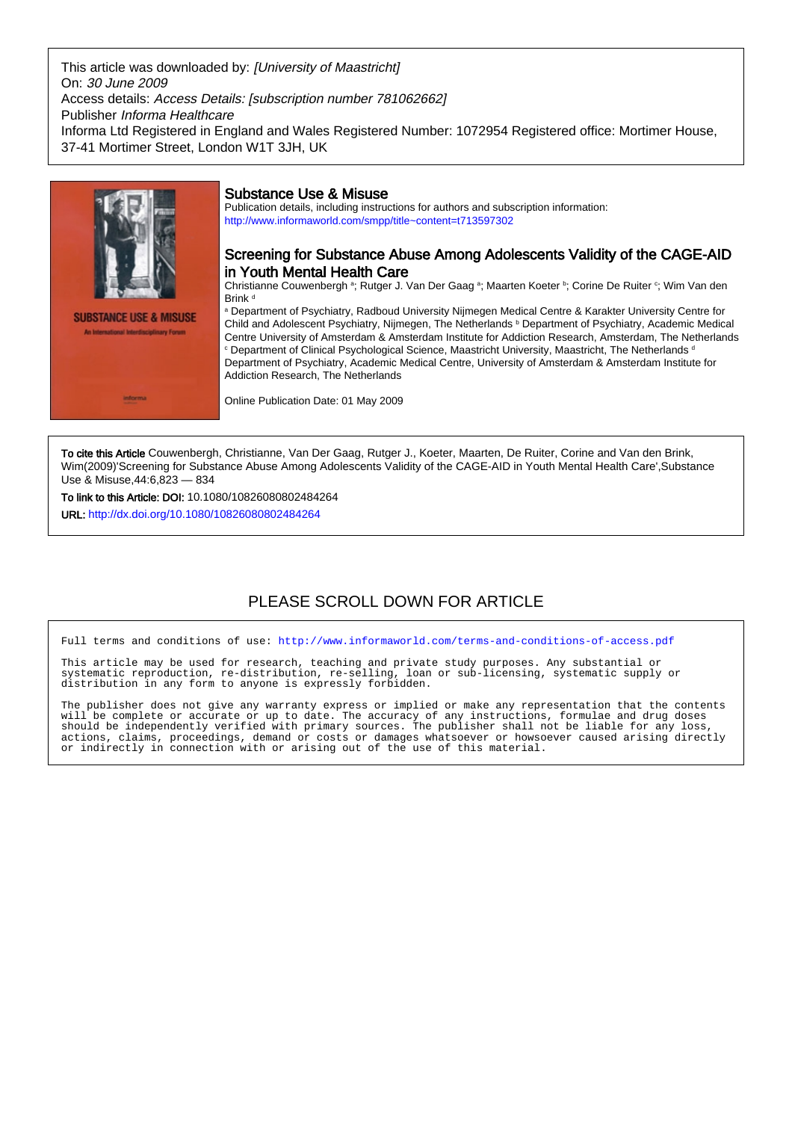This article was downloaded by: [University of Maastricht] On: 30 June 2009 Access details: Access Details: [subscription number 781062662] Publisher Informa Healthcare Informa Ltd Registered in England and Wales Registered Number: 1072954 Registered office: Mortimer House, 37-41 Mortimer Street, London W1T 3JH, UK



**Informa** 

### Substance Use & Misuse

Publication details, including instructions for authors and subscription information: <http://www.informaworld.com/smpp/title~content=t713597302>

### Screening for Substance Abuse Among Adolescents Validity of the CAGE-AID in Youth Mental Health Care

Christianne Couwenbergh ª; Rutger J. Van Der Gaag ª; Maarten Koeter <sup>b</sup>; Corine De Ruiter º; Wim Van den Brink<sup>d</sup>

a Department of Psychiatry, Radboud University Nijmegen Medical Centre & Karakter University Centre for Child and Adolescent Psychiatry, Nijmegen, The Netherlands <sup>b</sup> Department of Psychiatry, Academic Medical Centre University of Amsterdam & Amsterdam Institute for Addiction Research, Amsterdam, The Netherlands  $^\circ$  Department of Clinical Psychological Science, Maastricht University, Maastricht, The Netherlands  $^\text{d}$ Department of Psychiatry, Academic Medical Centre, University of Amsterdam & Amsterdam Institute for Addiction Research, The Netherlands

Online Publication Date: 01 May 2009

To cite this Article Couwenbergh, Christianne, Van Der Gaag, Rutger J., Koeter, Maarten, De Ruiter, Corine and Van den Brink, Wim(2009)'Screening for Substance Abuse Among Adolescents Validity of the CAGE-AID in Youth Mental Health Care',Substance Use & Misuse,44:6,823 — 834

To link to this Article: DOI: 10.1080/10826080802484264

URL: <http://dx.doi.org/10.1080/10826080802484264>

# PLEASE SCROLL DOWN FOR ARTICLE

Full terms and conditions of use:<http://www.informaworld.com/terms-and-conditions-of-access.pdf>

This article may be used for research, teaching and private study purposes. Any substantial or systematic reproduction, re-distribution, re-selling, loan or sub-licensing, systematic supply or distribution in any form to anyone is expressly forbidden.

The publisher does not give any warranty express or implied or make any representation that the contents will be complete or accurate or up to date. The accuracy of any instructions, formulae and drug doses should be independently verified with primary sources. The publisher shall not be liable for any loss, actions, claims, proceedings, demand or costs or damages whatsoever or howsoever caused arising directly or indirectly in connection with or arising out of the use of this material.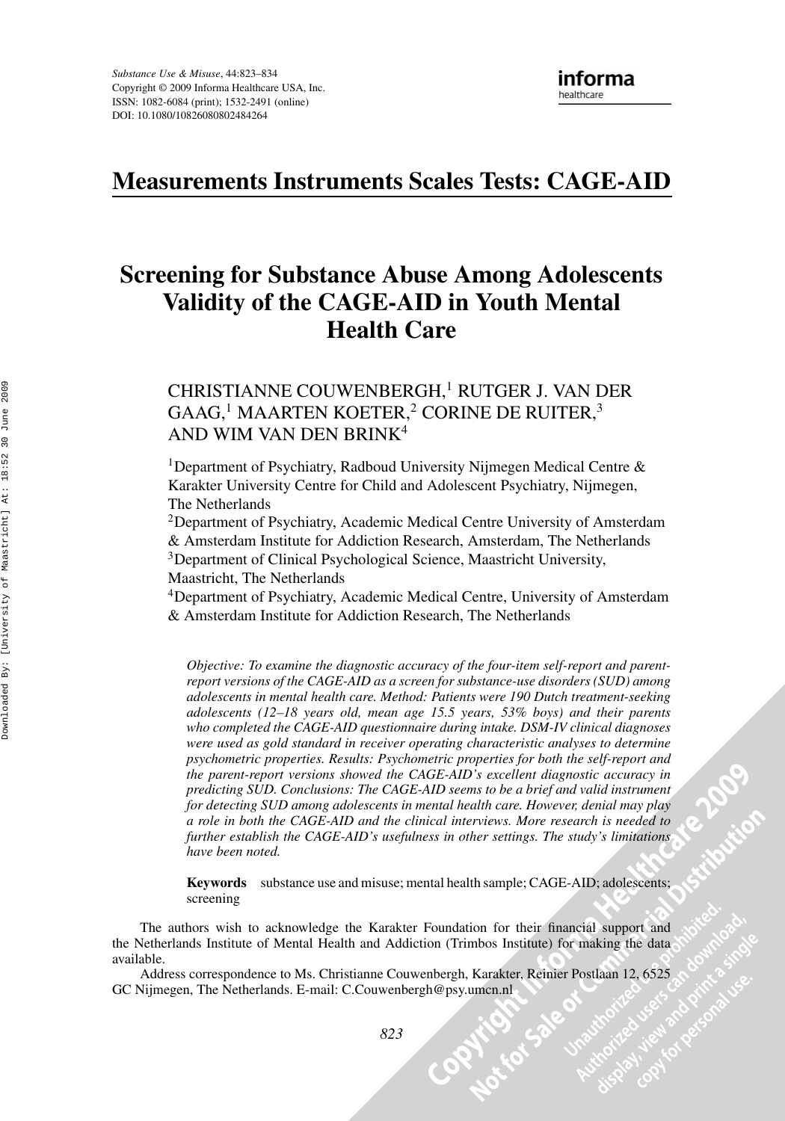# **Measurements Instruments Scales Tests: CAGE-AID**

# **Screening for Substance Abuse Among Adolescents Validity of the CAGE-AID in Youth Mental Health Care**

## CHRISTIANNE COUWENBERGH,<sup>1</sup> RUTGER J. VAN DER GAAG,<sup>1</sup> MAARTEN KOETER,<sup>2</sup> CORINE DE RUITER,<sup>3</sup> AND WIM VAN DEN BRINK<sup>4</sup>

<sup>1</sup>Department of Psychiatry, Radboud University Nijmegen Medical Centre  $\&$ Karakter University Centre for Child and Adolescent Psychiatry, Nijmegen, The Netherlands

<sup>2</sup>Department of Psychiatry, Academic Medical Centre University of Amsterdam & Amsterdam Institute for Addiction Research, Amsterdam, The Netherlands <sup>3</sup>Department of Clinical Psychological Science, Maastricht University,

Maastricht, The Netherlands

4Department of Psychiatry, Academic Medical Centre, University of Amsterdam & Amsterdam Institute for Addiction Research, The Netherlands

*Objective: To examine the diagnostic accuracy of the four-item self-report and parentreport versions of the CAGE-AID as a screen for substance-use disorders (SUD) among adolescents in mental health care. Method: Patients were 190 Dutch treatment-seeking adolescents (12–18 years old, mean age 15.5 years, 53% boys) and their parents who completed the CAGE-AID questionnaire during intake. DSM-IV clinical diagnoses were used as gold standard in receiver operating characteristic analyses to determine psychometric properties. Results: Psychometric properties for both the self-report and the parent-report versions showed the CAGE-AID's excellent diagnostic accuracy in predicting SUD. Conclusions: The CAGE-AID seems to be a brief and valid instrument for detecting SUD among adolescents in mental health care. However, denial may play a role in both the CAGE-AID and the clinical interviews. More research is needed to further establish the CAGE-AID's usefulness in other settings. The study's limitations have been noted.*

**Keywords** substance use and misuse; mental health sample; CAGE-AID; adolescents; screening

The authors wish to acknowledge the Karakter Foundation for their financial support and the Netherlands Institute of Mental Health and Addiction (Trimbos Institute) for making the data available.

Address correspondence to Ms. Christianne Couwenbergh, Karakter, Reinier Postlaan 12, 6525 GC Nijmegen, The Netherlands. E-mail: C.Couwenbergh@psy.umcn.nl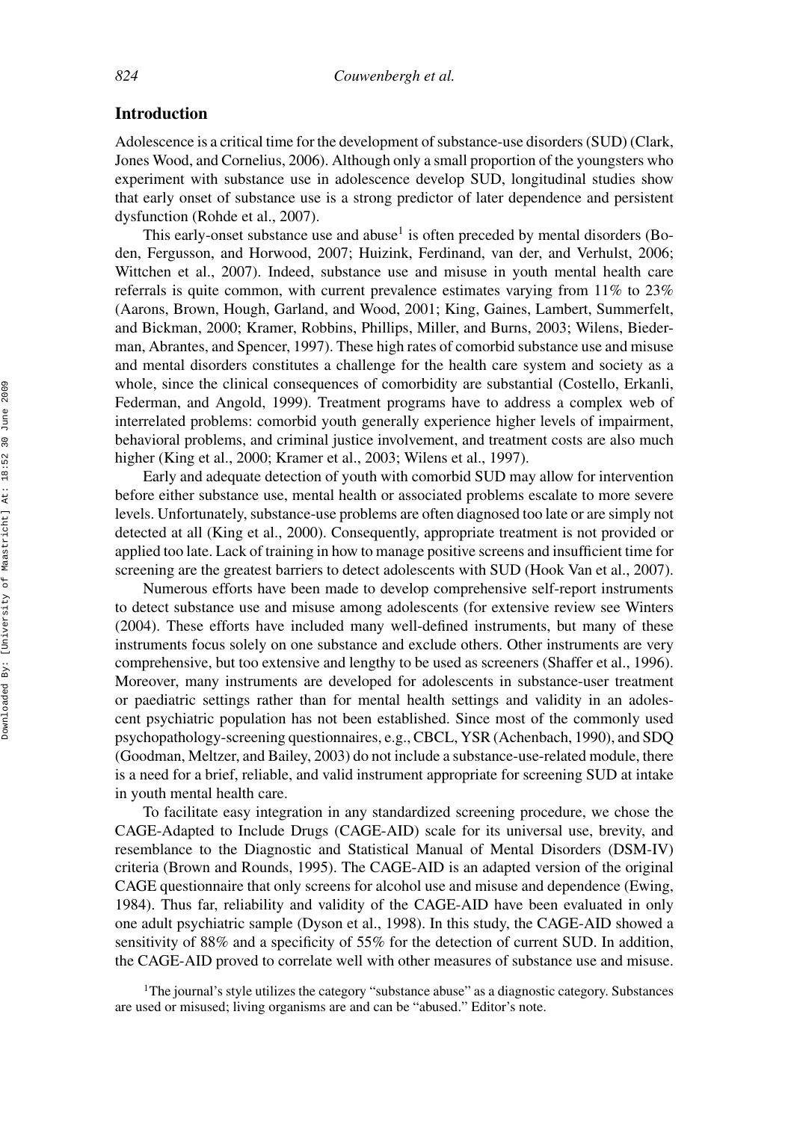#### **Introduction**

Adolescence is a critical time for the development of substance-use disorders (SUD) (Clark, Jones Wood, and Cornelius, 2006). Although only a small proportion of the youngsters who experiment with substance use in adolescence develop SUD, longitudinal studies show that early onset of substance use is a strong predictor of later dependence and persistent dysfunction (Rohde et al., 2007).

This early-onset substance use and abuse<sup>1</sup> is often preceded by mental disorders (Boden, Fergusson, and Horwood, 2007; Huizink, Ferdinand, van der, and Verhulst, 2006; Wittchen et al., 2007). Indeed, substance use and misuse in youth mental health care referrals is quite common, with current prevalence estimates varying from 11% to 23% (Aarons, Brown, Hough, Garland, and Wood, 2001; King, Gaines, Lambert, Summerfelt, and Bickman, 2000; Kramer, Robbins, Phillips, Miller, and Burns, 2003; Wilens, Biederman, Abrantes, and Spencer, 1997). These high rates of comorbid substance use and misuse and mental disorders constitutes a challenge for the health care system and society as a whole, since the clinical consequences of comorbidity are substantial (Costello, Erkanli, Federman, and Angold, 1999). Treatment programs have to address a complex web of interrelated problems: comorbid youth generally experience higher levels of impairment, behavioral problems, and criminal justice involvement, and treatment costs are also much higher (King et al., 2000; Kramer et al., 2003; Wilens et al., 1997).

Early and adequate detection of youth with comorbid SUD may allow for intervention before either substance use, mental health or associated problems escalate to more severe levels. Unfortunately, substance-use problems are often diagnosed too late or are simply not detected at all (King et al., 2000). Consequently, appropriate treatment is not provided or applied too late. Lack of training in how to manage positive screens and insufficient time for screening are the greatest barriers to detect adolescents with SUD (Hook Van et al., 2007).

Numerous efforts have been made to develop comprehensive self-report instruments to detect substance use and misuse among adolescents (for extensive review see Winters (2004). These efforts have included many well-defined instruments, but many of these instruments focus solely on one substance and exclude others. Other instruments are very comprehensive, but too extensive and lengthy to be used as screeners (Shaffer et al., 1996). Moreover, many instruments are developed for adolescents in substance-user treatment or paediatric settings rather than for mental health settings and validity in an adolescent psychiatric population has not been established. Since most of the commonly used psychopathology-screening questionnaires, e.g., CBCL, YSR (Achenbach, 1990), and SDQ (Goodman, Meltzer, and Bailey, 2003) do not include a substance-use-related module, there is a need for a brief, reliable, and valid instrument appropriate for screening SUD at intake in youth mental health care.

To facilitate easy integration in any standardized screening procedure, we chose the CAGE-Adapted to Include Drugs (CAGE-AID) scale for its universal use, brevity, and resemblance to the Diagnostic and Statistical Manual of Mental Disorders (DSM-IV) criteria (Brown and Rounds, 1995). The CAGE-AID is an adapted version of the original CAGE questionnaire that only screens for alcohol use and misuse and dependence (Ewing, 1984). Thus far, reliability and validity of the CAGE-AID have been evaluated in only one adult psychiatric sample (Dyson et al., 1998). In this study, the CAGE-AID showed a sensitivity of 88% and a specificity of 55% for the detection of current SUD. In addition, the CAGE-AID proved to correlate well with other measures of substance use and misuse.

<sup>1</sup>The journal's style utilizes the category "substance abuse" as a diagnostic category. Substances are used or misused; living organisms are and can be "abused*.*" Editor's note.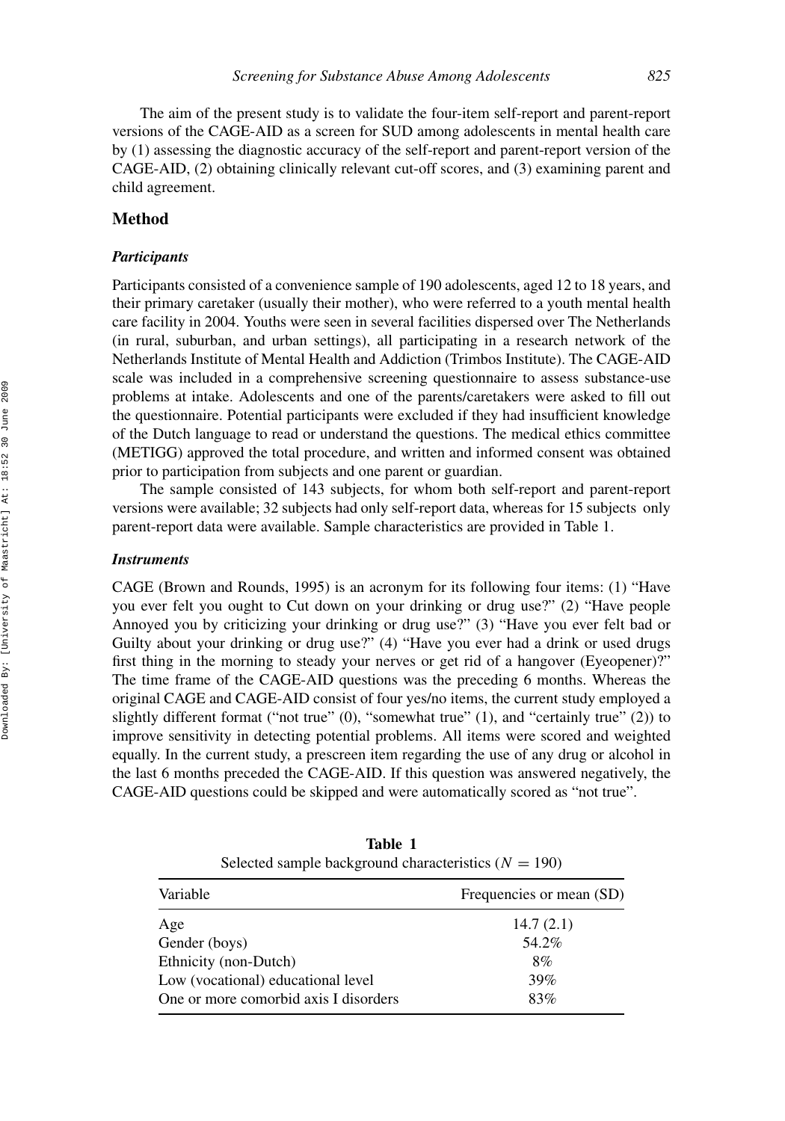The aim of the present study is to validate the four-item self-report and parent-report versions of the CAGE-AID as a screen for SUD among adolescents in mental health care by (1) assessing the diagnostic accuracy of the self-report and parent-report version of the CAGE-AID, (2) obtaining clinically relevant cut-off scores, and (3) examining parent and child agreement.

#### **Method**

#### *Participants*

Participants consisted of a convenience sample of 190 adolescents, aged 12 to 18 years, and their primary caretaker (usually their mother), who were referred to a youth mental health care facility in 2004. Youths were seen in several facilities dispersed over The Netherlands (in rural, suburban, and urban settings), all participating in a research network of the Netherlands Institute of Mental Health and Addiction (Trimbos Institute). The CAGE-AID scale was included in a comprehensive screening questionnaire to assess substance-use problems at intake. Adolescents and one of the parents/caretakers were asked to fill out the questionnaire. Potential participants were excluded if they had insufficient knowledge of the Dutch language to read or understand the questions. The medical ethics committee (METIGG) approved the total procedure, and written and informed consent was obtained prior to participation from subjects and one parent or guardian.

The sample consisted of 143 subjects, for whom both self-report and parent-report versions were available; 32 subjects had only self-report data, whereas for 15 subjects only parent-report data were available. Sample characteristics are provided in Table 1.

#### *Instruments*

CAGE (Brown and Rounds, 1995) is an acronym for its following four items: (1) "Have you ever felt you ought to Cut down on your drinking or drug use?" (2) "Have people Annoyed you by criticizing your drinking or drug use?" (3) "Have you ever felt bad or Guilty about your drinking or drug use?" (4) "Have you ever had a drink or used drugs first thing in the morning to steady your nerves or get rid of a hangover (Eyeopener)?" The time frame of the CAGE-AID questions was the preceding 6 months. Whereas the original CAGE and CAGE-AID consist of four yes/no items, the current study employed a slightly different format ("not true" (0), "somewhat true" (1), and "certainly true" (2)) to improve sensitivity in detecting potential problems. All items were scored and weighted equally. In the current study, a prescreen item regarding the use of any drug or alcohol in the last 6 months preceded the CAGE-AID. If this question was answered negatively, the CAGE-AID questions could be skipped and were automatically scored as "not true".

| Variable                              | Frequencies or mean (SD) |
|---------------------------------------|--------------------------|
| Age                                   | 14.7(2.1)                |
| Gender (boys)                         | 54.2%                    |
| Ethnicity (non-Dutch)                 | 8%                       |
| Low (vocational) educational level    | 39%                      |
| One or more comorbid axis I disorders | 83%                      |

| Table 1                                                |
|--------------------------------------------------------|
| Selected sample background characteristics $(N = 190)$ |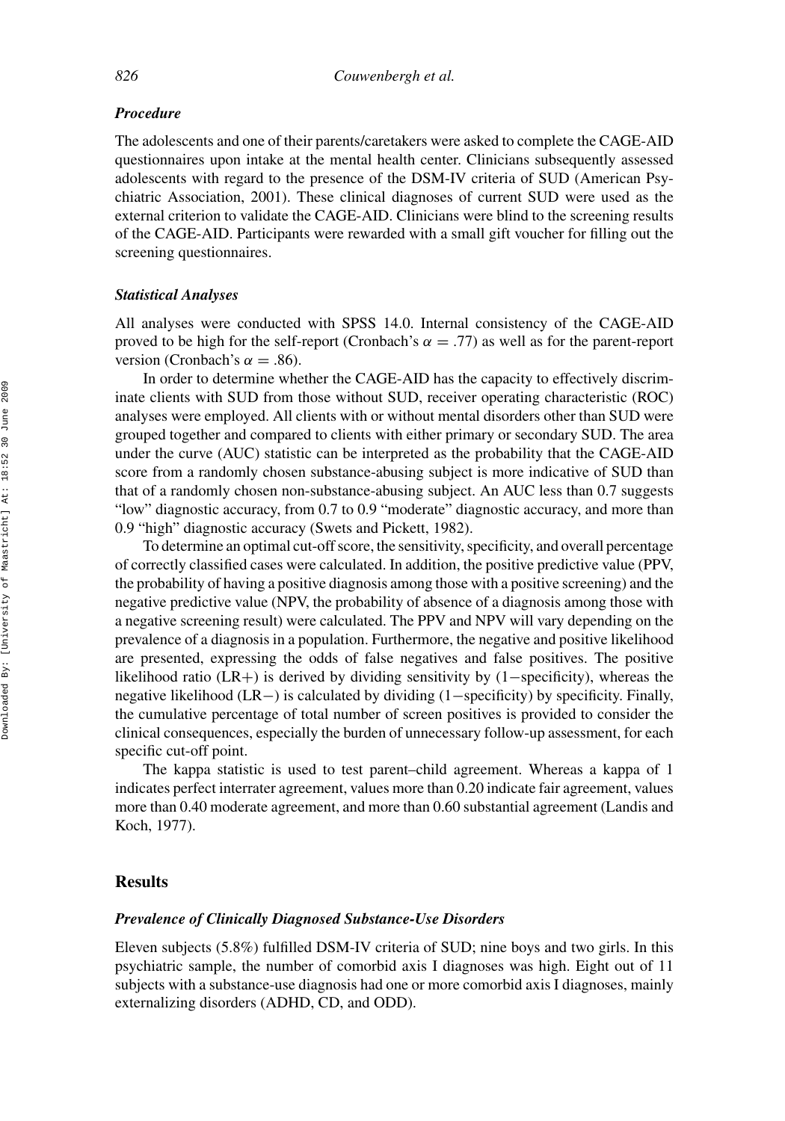#### *Procedure*

The adolescents and one of their parents/caretakers were asked to complete the CAGE-AID questionnaires upon intake at the mental health center. Clinicians subsequently assessed adolescents with regard to the presence of the DSM-IV criteria of SUD (American Psychiatric Association, 2001). These clinical diagnoses of current SUD were used as the external criterion to validate the CAGE-AID. Clinicians were blind to the screening results of the CAGE-AID. Participants were rewarded with a small gift voucher for filling out the screening questionnaires.

#### *Statistical Analyses*

All analyses were conducted with SPSS 14.0. Internal consistency of the CAGE-AID proved to be high for the self-report (Cronbach's *α* = .77) as well as for the parent-report version (Cronbach's  $\alpha = .86$ ).

In order to determine whether the CAGE-AID has the capacity to effectively discriminate clients with SUD from those without SUD, receiver operating characteristic (ROC) analyses were employed. All clients with or without mental disorders other than SUD were grouped together and compared to clients with either primary or secondary SUD. The area under the curve (AUC) statistic can be interpreted as the probability that the CAGE-AID score from a randomly chosen substance-abusing subject is more indicative of SUD than that of a randomly chosen non-substance-abusing subject. An AUC less than 0.7 suggests "low" diagnostic accuracy, from 0.7 to 0.9 "moderate" diagnostic accuracy, and more than 0.9 "high" diagnostic accuracy (Swets and Pickett, 1982).

To determine an optimal cut-off score, the sensitivity, specificity, and overall percentage of correctly classified cases were calculated. In addition, the positive predictive value (PPV, the probability of having a positive diagnosis among those with a positive screening) and the negative predictive value (NPV, the probability of absence of a diagnosis among those with a negative screening result) were calculated. The PPV and NPV will vary depending on the prevalence of a diagnosis in a population. Furthermore, the negative and positive likelihood are presented, expressing the odds of false negatives and false positives. The positive likelihood ratio (LR+) is derived by dividing sensitivity by (1−specificity), whereas the negative likelihood (LR−) is calculated by dividing (1−specificity) by specificity. Finally, the cumulative percentage of total number of screen positives is provided to consider the clinical consequences, especially the burden of unnecessary follow-up assessment, for each specific cut-off point.

The kappa statistic is used to test parent–child agreement. Whereas a kappa of 1 indicates perfect interrater agreement, values more than 0.20 indicate fair agreement, values more than 0.40 moderate agreement, and more than 0.60 substantial agreement (Landis and Koch, 1977).

#### **Results**

#### *Prevalence of Clinically Diagnosed Substance-Use Disorders*

Eleven subjects (5.8%) fulfilled DSM-IV criteria of SUD; nine boys and two girls. In this psychiatric sample, the number of comorbid axis I diagnoses was high. Eight out of 11 subjects with a substance-use diagnosis had one or more comorbid axis I diagnoses, mainly externalizing disorders (ADHD, CD, and ODD).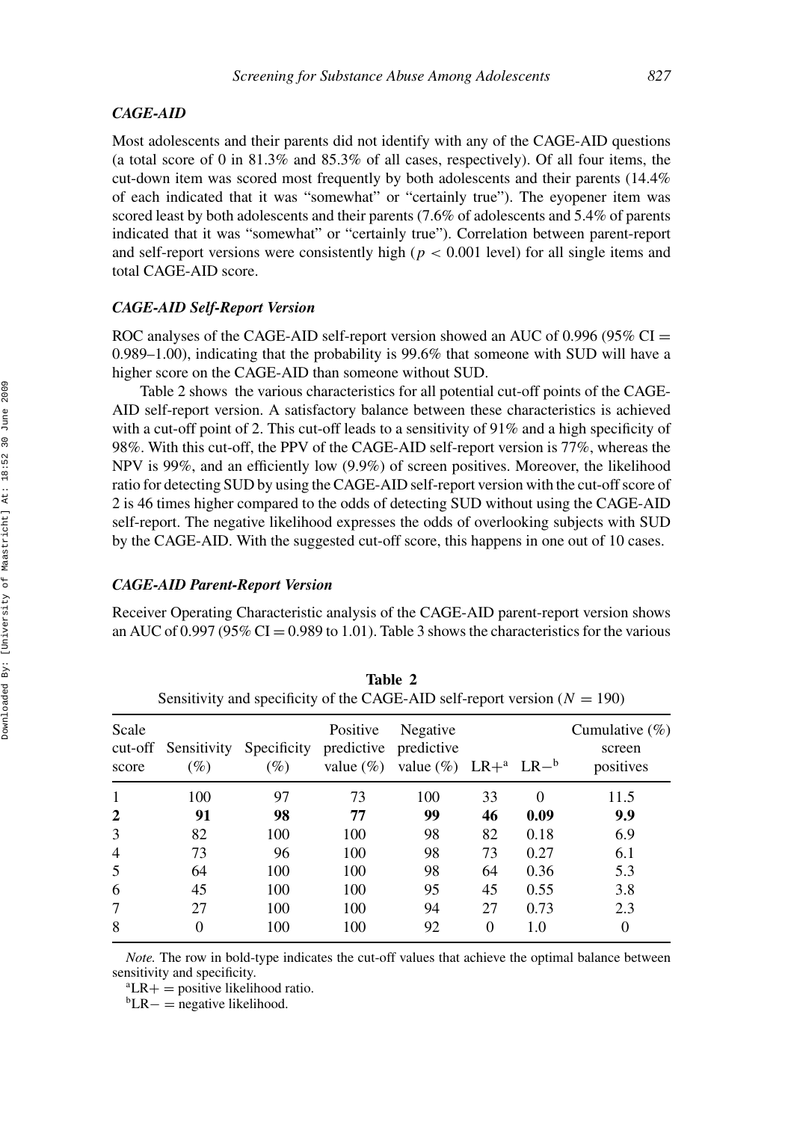#### *CAGE-AID*

Most adolescents and their parents did not identify with any of the CAGE-AID questions (a total score of 0 in 81.3% and 85.3% of all cases, respectively). Of all four items, the cut-down item was scored most frequently by both adolescents and their parents (14.4% of each indicated that it was "somewhat" or "certainly true"). The eyopener item was scored least by both adolescents and their parents (7.6% of adolescents and 5.4% of parents indicated that it was "somewhat" or "certainly true"). Correlation between parent-report and self-report versions were consistently high (*p <* 0.001 level) for all single items and total CAGE-AID score.

#### *CAGE-AID Self-Report Version*

ROC analyses of the CAGE-AID self-report version showed an AUC of 0.996 (95% CI  $=$ 0.989–1.00), indicating that the probability is 99.6% that someone with SUD will have a higher score on the CAGE-AID than someone without SUD.

Table 2 shows the various characteristics for all potential cut-off points of the CAGE-AID self-report version. A satisfactory balance between these characteristics is achieved with a cut-off point of 2. This cut-off leads to a sensitivity of 91% and a high specificity of 98%. With this cut-off, the PPV of the CAGE-AID self-report version is 77%, whereas the NPV is 99%, and an efficiently low (9.9%) of screen positives. Moreover, the likelihood ratio for detecting SUD by using the CAGE-AID self-report version with the cut-off score of 2 is 46 times higher compared to the odds of detecting SUD without using the CAGE-AID self-report. The negative likelihood expresses the odds of overlooking subjects with SUD by the CAGE-AID. With the suggested cut-off score, this happens in one out of 10 cases.

#### *CAGE-AID Parent-Report Version*

Receiver Operating Characteristic analysis of the CAGE-AID parent-report version shows an AUC of 0.997 (95% CI = 0.989 to 1.01). Table 3 shows the characteristics for the various

| Sensitivity and specificity of the CAGE-AID self-report version ( $N = 190$ ) |                       |                    |                                         |                                                                          |          |      |                                          |  |
|-------------------------------------------------------------------------------|-----------------------|--------------------|-----------------------------------------|--------------------------------------------------------------------------|----------|------|------------------------------------------|--|
| Scale<br>cut-off<br>score                                                     | Sensitivity<br>$(\%)$ | Specificity<br>(%) | Positive<br>predictive<br>value $(\% )$ | Negative<br>predictive<br>value $(\%)$ LR+ <sup>a</sup> LR- <sup>b</sup> |          |      | Cumulative $(\%)$<br>screen<br>positives |  |
| 1                                                                             | 100                   | 97                 | 73                                      | 100                                                                      | 33       | 0    | 11.5                                     |  |
| 2                                                                             | 91                    | 98                 | 77                                      | 99                                                                       | 46       | 0.09 | 9.9                                      |  |
| 3                                                                             | 82                    | 100                | 100                                     | 98                                                                       | 82       | 0.18 | 6.9                                      |  |
| 4                                                                             | 73                    | 96                 | 100                                     | 98                                                                       | 73       | 0.27 | 6.1                                      |  |
| 5                                                                             | 64                    | 100                | 100                                     | 98                                                                       | 64       | 0.36 | 5.3                                      |  |
| 6                                                                             | 45                    | 100                | 100                                     | 95                                                                       | 45       | 0.55 | 3.8                                      |  |
| 7                                                                             | 27                    | 100                | 100                                     | 94                                                                       | 27       | 0.73 | 2.3                                      |  |
| 8                                                                             | $\theta$              | 100                | 100                                     | 92                                                                       | $\Omega$ | 1.0  | 0                                        |  |
|                                                                               |                       |                    |                                         |                                                                          |          |      |                                          |  |

**Table 2**

*Note.* The row in bold-type indicates the cut-off values that achieve the optimal balance between sensitivity and specificity.

<sup>a</sup>LR+ = positive likelihood ratio.<br><sup>b</sup>LR− = negative likelihood.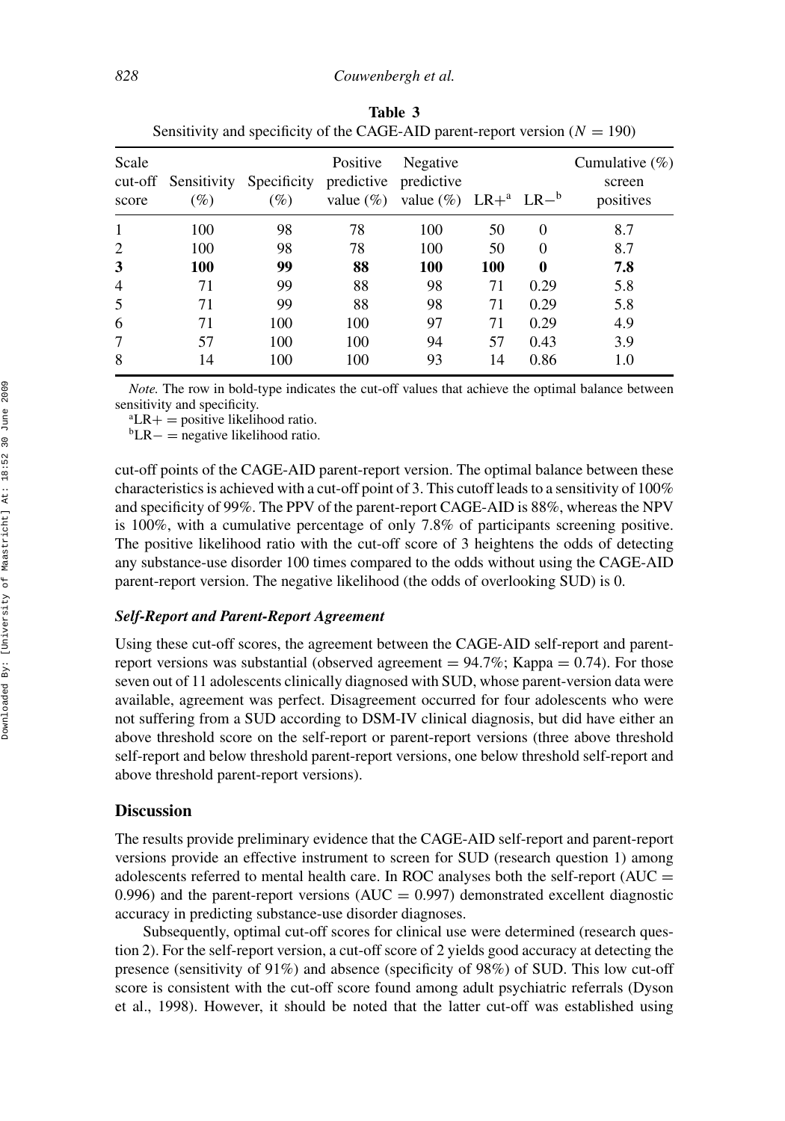| Scale<br>score | $(\%)$ | cut-off Sensitivity Specificity<br>(%) | Positive<br>predictive<br>value $(\%)$ | Negative<br>predictive<br>value $(\%)$ LR+ <sup>a</sup> LR- <sup>b</sup> |     |          | Cumulative $(\%)$<br>screen<br>positives |
|----------------|--------|----------------------------------------|----------------------------------------|--------------------------------------------------------------------------|-----|----------|------------------------------------------|
| $\mathbf{1}$   | 100    | 98                                     | 78                                     | 100                                                                      | 50  | $\Omega$ | 8.7                                      |
| 2              | 100    | 98                                     | 78                                     | 100                                                                      | 50  | 0        | 8.7                                      |
| 3              | 100    | 99                                     | 88                                     | <b>100</b>                                                               | 100 | 0        | 7.8                                      |
| $\overline{4}$ | 71     | 99                                     | 88                                     | 98                                                                       | 71  | 0.29     | 5.8                                      |
| 5              | 71     | 99                                     | 88                                     | 98                                                                       | 71  | 0.29     | 5.8                                      |
| 6              | 71     | 100                                    | 100                                    | 97                                                                       | 71  | 0.29     | 4.9                                      |
| 7              | 57     | 100                                    | 100                                    | 94                                                                       | 57  | 0.43     | 3.9                                      |
| 8              | 14     | 100                                    | 100                                    | 93                                                                       | 14  | 0.86     | 1.0                                      |

**Table 3** Sensitivity and specificity of the CAGE-AID parent-report version ( $N = 190$ )

*Note*. The row in bold-type indicates the cut-off values that achieve the optimal balance between sensitivity and specificity.

 ${}^{\rm a}$ LR+ = positive likelihood ratio.

 $b$ LR− = negative likelihood ratio.

cut-off points of the CAGE-AID parent-report version. The optimal balance between these characteristics is achieved with a cut-off point of 3. This cutoff leads to a sensitivity of 100% and specificity of 99%. The PPV of the parent-report CAGE-AID is 88%, whereas the NPV is 100%, with a cumulative percentage of only 7.8% of participants screening positive. The positive likelihood ratio with the cut-off score of 3 heightens the odds of detecting any substance-use disorder 100 times compared to the odds without using the CAGE-AID parent-report version. The negative likelihood (the odds of overlooking SUD) is 0.

#### *Self-Report and Parent-Report Agreement*

Using these cut-off scores, the agreement between the CAGE-AID self-report and parentreport versions was substantial (observed agreement  $= 94.7\%$ ; Kappa  $= 0.74$ ). For those seven out of 11 adolescents clinically diagnosed with SUD, whose parent-version data were available, agreement was perfect. Disagreement occurred for four adolescents who were not suffering from a SUD according to DSM-IV clinical diagnosis, but did have either an above threshold score on the self-report or parent-report versions (three above threshold self-report and below threshold parent-report versions, one below threshold self-report and above threshold parent-report versions).

#### **Discussion**

The results provide preliminary evidence that the CAGE-AID self-report and parent-report versions provide an effective instrument to screen for SUD (research question 1) among adolescents referred to mental health care. In ROC analyses both the self-report ( $AUC =$ 0.996) and the parent-report versions (AUC =  $0.997$ ) demonstrated excellent diagnostic accuracy in predicting substance-use disorder diagnoses.

Subsequently, optimal cut-off scores for clinical use were determined (research question 2). For the self-report version, a cut-off score of 2 yields good accuracy at detecting the presence (sensitivity of 91%) and absence (specificity of 98%) of SUD. This low cut-off score is consistent with the cut-off score found among adult psychiatric referrals (Dyson et al., 1998). However, it should be noted that the latter cut-off was established using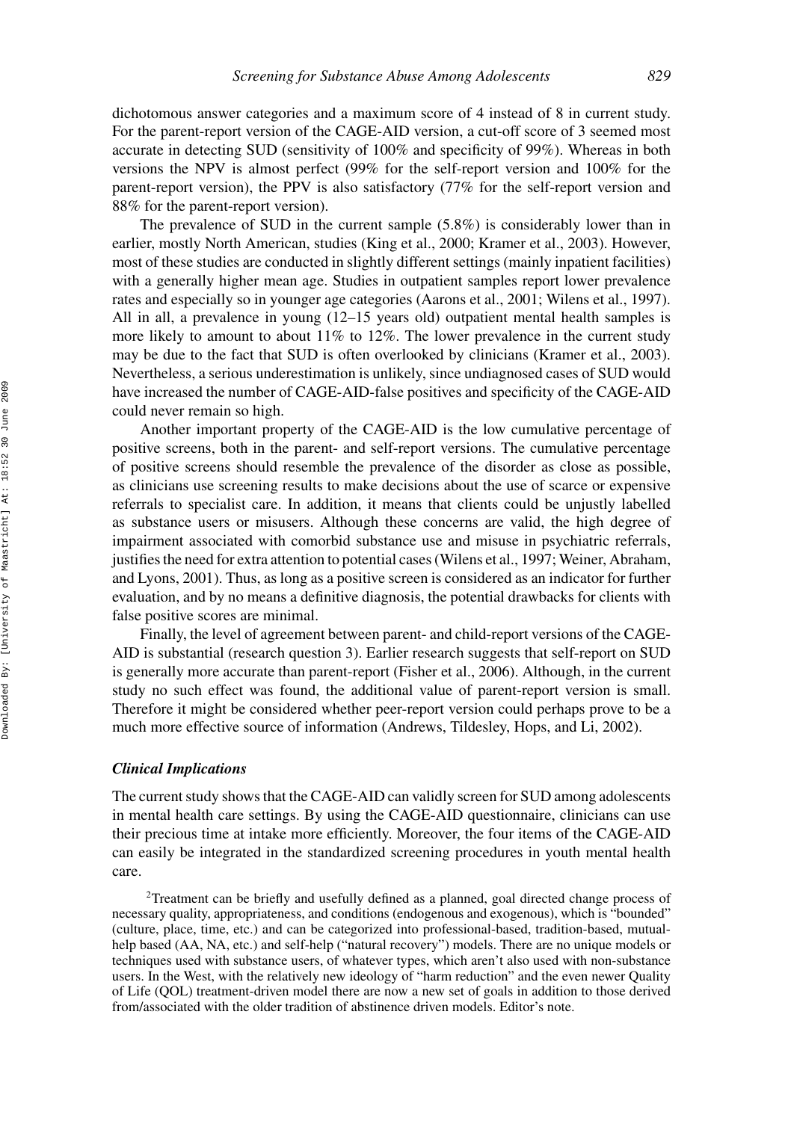dichotomous answer categories and a maximum score of 4 instead of 8 in current study. For the parent-report version of the CAGE-AID version, a cut-off score of 3 seemed most accurate in detecting SUD (sensitivity of 100% and specificity of 99%). Whereas in both versions the NPV is almost perfect (99% for the self-report version and 100% for the parent-report version), the PPV is also satisfactory (77% for the self-report version and 88% for the parent-report version).

The prevalence of SUD in the current sample (5.8%) is considerably lower than in earlier, mostly North American, studies (King et al., 2000; Kramer et al., 2003). However, most of these studies are conducted in slightly different settings (mainly inpatient facilities) with a generally higher mean age. Studies in outpatient samples report lower prevalence rates and especially so in younger age categories (Aarons et al., 2001; Wilens et al., 1997). All in all, a prevalence in young (12–15 years old) outpatient mental health samples is more likely to amount to about  $11\%$  to  $12\%$ . The lower prevalence in the current study may be due to the fact that SUD is often overlooked by clinicians (Kramer et al., 2003). Nevertheless, a serious underestimation is unlikely, since undiagnosed cases of SUD would have increased the number of CAGE-AID-false positives and specificity of the CAGE-AID could never remain so high.

Another important property of the CAGE-AID is the low cumulative percentage of positive screens, both in the parent- and self-report versions. The cumulative percentage of positive screens should resemble the prevalence of the disorder as close as possible, as clinicians use screening results to make decisions about the use of scarce or expensive referrals to specialist care. In addition, it means that clients could be unjustly labelled as substance users or misusers. Although these concerns are valid, the high degree of impairment associated with comorbid substance use and misuse in psychiatric referrals, justifies the need for extra attention to potential cases (Wilens et al., 1997; Weiner, Abraham, and Lyons, 2001). Thus, as long as a positive screen is considered as an indicator for further evaluation, and by no means a definitive diagnosis, the potential drawbacks for clients with false positive scores are minimal.

Finally, the level of agreement between parent- and child-report versions of the CAGE-AID is substantial (research question 3). Earlier research suggests that self-report on SUD is generally more accurate than parent-report (Fisher et al., 2006). Although, in the current study no such effect was found, the additional value of parent-report version is small. Therefore it might be considered whether peer-report version could perhaps prove to be a much more effective source of information (Andrews, Tildesley, Hops, and Li, 2002).

#### *Clinical Implications*

The current study shows that the CAGE-AID can validly screen for SUD among adolescents in mental health care settings. By using the CAGE-AID questionnaire, clinicians can use their precious time at intake more efficiently. Moreover, the four items of the CAGE-AID can easily be integrated in the standardized screening procedures in youth mental health care.

2Treatment can be briefly and usefully defined as a planned, goal directed change process of necessary quality, appropriateness, and conditions (endogenous and exogenous), which is "bounded" (culture, place, time, etc.) and can be categorized into professional-based, tradition-based, mutualhelp based (AA, NA, etc.) and self-help ("natural recovery") models. There are no unique models or techniques used with substance users, of whatever types, which aren't also used with non-substance users. In the West, with the relatively new ideology of "harm reduction" and the even newer Quality of Life (QOL) treatment-driven model there are now a new set of goals in addition to those derived from/associated with the older tradition of abstinence driven models. Editor's note.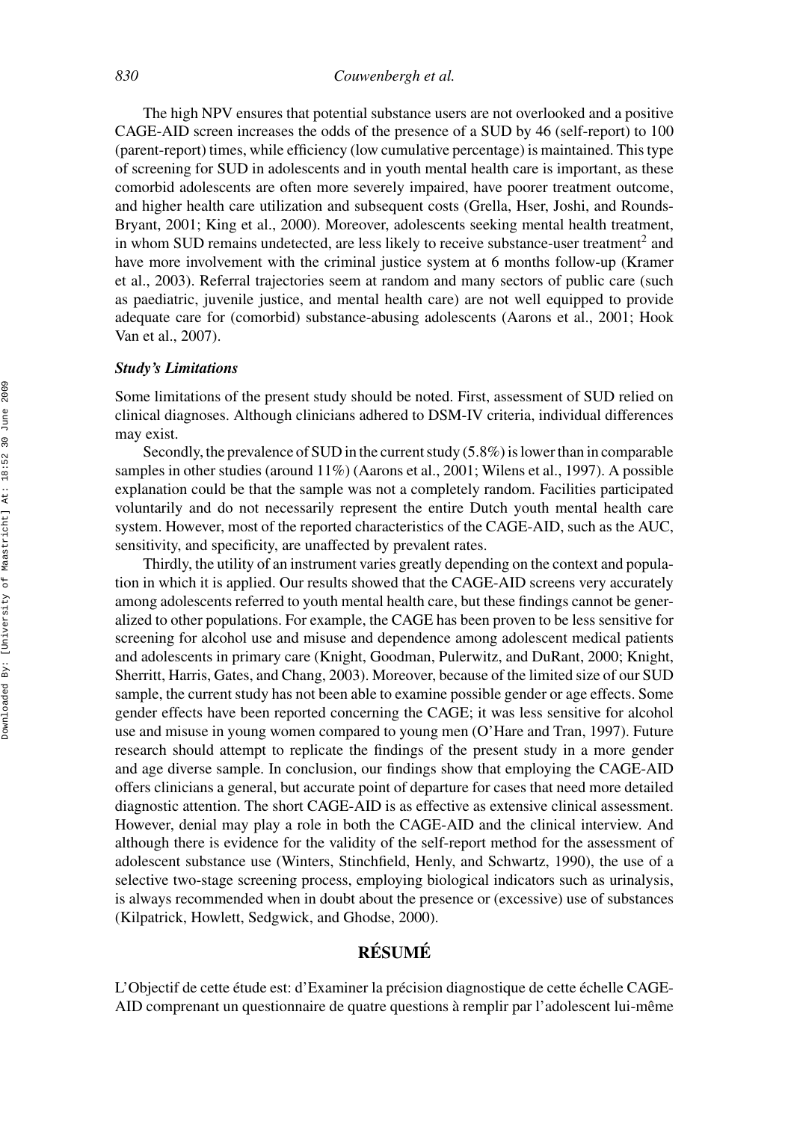The high NPV ensures that potential substance users are not overlooked and a positive CAGE-AID screen increases the odds of the presence of a SUD by 46 (self-report) to 100 (parent-report) times, while efficiency (low cumulative percentage) is maintained. This type of screening for SUD in adolescents and in youth mental health care is important, as these comorbid adolescents are often more severely impaired, have poorer treatment outcome, and higher health care utilization and subsequent costs (Grella, Hser, Joshi, and Rounds-Bryant, 2001; King et al., 2000). Moreover, adolescents seeking mental health treatment, in whom SUD remains undetected, are less likely to receive substance-user treatment<sup>2</sup> and have more involvement with the criminal justice system at 6 months follow-up (Kramer et al., 2003). Referral trajectories seem at random and many sectors of public care (such as paediatric, juvenile justice, and mental health care) are not well equipped to provide adequate care for (comorbid) substance-abusing adolescents (Aarons et al., 2001; Hook Van et al., 2007).

#### *Study's Limitations*

Some limitations of the present study should be noted. First, assessment of SUD relied on clinical diagnoses. Although clinicians adhered to DSM-IV criteria, individual differences may exist.

Secondly, the prevalence of SUD in the current study (5.8%) is lower than in comparable samples in other studies (around 11%) (Aarons et al., 2001; Wilens et al., 1997). A possible explanation could be that the sample was not a completely random. Facilities participated voluntarily and do not necessarily represent the entire Dutch youth mental health care system. However, most of the reported characteristics of the CAGE-AID, such as the AUC, sensitivity, and specificity, are unaffected by prevalent rates.

Thirdly, the utility of an instrument varies greatly depending on the context and population in which it is applied. Our results showed that the CAGE-AID screens very accurately among adolescents referred to youth mental health care, but these findings cannot be generalized to other populations. For example, the CAGE has been proven to be less sensitive for screening for alcohol use and misuse and dependence among adolescent medical patients and adolescents in primary care (Knight, Goodman, Pulerwitz, and DuRant, 2000; Knight, Sherritt, Harris, Gates, and Chang, 2003). Moreover, because of the limited size of our SUD sample, the current study has not been able to examine possible gender or age effects. Some gender effects have been reported concerning the CAGE; it was less sensitive for alcohol use and misuse in young women compared to young men (O'Hare and Tran, 1997). Future research should attempt to replicate the findings of the present study in a more gender and age diverse sample. In conclusion, our findings show that employing the CAGE-AID offers clinicians a general, but accurate point of departure for cases that need more detailed diagnostic attention. The short CAGE-AID is as effective as extensive clinical assessment. However, denial may play a role in both the CAGE-AID and the clinical interview. And although there is evidence for the validity of the self-report method for the assessment of adolescent substance use (Winters, Stinchfield, Henly, and Schwartz, 1990), the use of a selective two-stage screening process, employing biological indicators such as urinalysis, is always recommended when in doubt about the presence or (excessive) use of substances (Kilpatrick, Howlett, Sedgwick, and Ghodse, 2000).

## **RÉSUMÉ**

L'Objectif de cette étude est: d'Examiner la précision diagnostique de cette échelle CAGE-AID comprenant un questionnaire de quatre questions à remplir par l'adolescent lui-même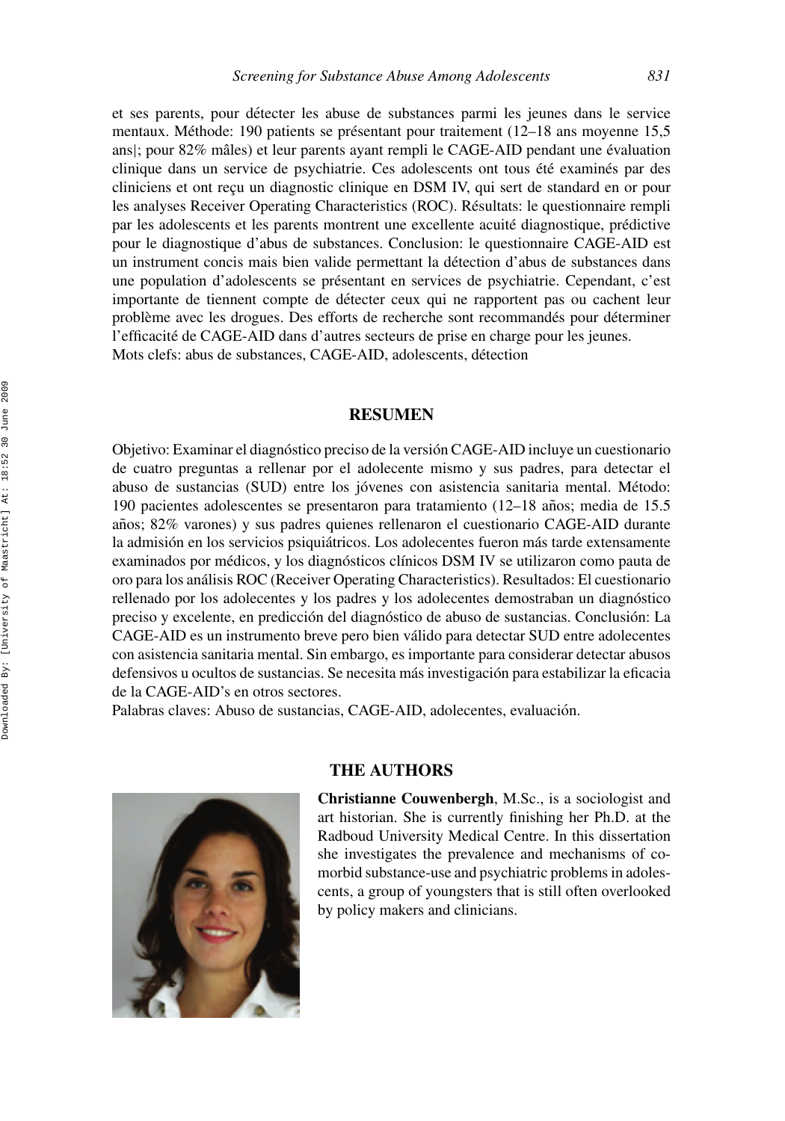et ses parents, pour detecter les abuse de substances parmi les jeunes dans le service ´ mentaux. Méthode: 190 patients se présentant pour traitement  $(12-18)$  ans moyenne 15,5 ans); pour  $82\%$  mâles) et leur parents ayant rempli le CAGE-AID pendant une évaluation clinique dans un service de psychiatrie. Ces adolescents ont tous été examinés par des cliniciens et ont reçu un diagnostic clinique en DSM IV, qui sert de standard en or pour les analyses Receiver Operating Characteristics (ROC). Resultats: le questionnaire rempli ´ par les adolescents et les parents montrent une excellente acuité diagnostique, prédictive pour le diagnostique d'abus de substances. Conclusion: le questionnaire CAGE-AID est un instrument concis mais bien valide permettant la detection d'abus de substances dans ´ une population d'adolescents se presentant en services de psychiatrie. Cependant, c'est ´ importante de tiennent compte de detecter ceux qui ne rapportent pas ou cachent leur ´ problème avec les drogues. Des efforts de recherche sont recommandés pour déterminer l'efficacite de CAGE-AID dans d'autres secteurs de prise en charge pour les jeunes. ´ Mots clefs: abus de substances, CAGE-AID, adolescents, détection

#### **RESUMEN**

Objetivo: Examinar el diagnóstico preciso de la versión CAGE-AID incluye un cuestionario de cuatro preguntas a rellenar por el adolecente mismo y sus padres, para detectar el abuso de sustancias (SUD) entre los jóvenes con asistencia sanitaria mental. Método: 190 pacientes adolescentes se presentaron para tratamiento  $(12-18 \text{ años}; \text{ media de } 15.5$ años; 82% varones) y sus padres quienes rellenaron el cuestionario CAGE-AID durante la admisión en los servicios psiquiátricos. Los adolecentes fueron más tarde extensamente examinados por médicos, y los diagnósticos clínicos DSM IV se utilizaron como pauta de oro para los analisis ROC (Receiver Operating Characteristics). Resultados: El cuestionario ´ rellenado por los adolecentes y los padres y los adolecentes demostraban un diagnóstico preciso y excelente, en predicción del diagnóstico de abuso de sustancias. Conclusión: La CAGE-AID es un instrumento breve pero bien valido para detectar SUD entre adolecentes ´ con asistencia sanitaria mental. Sin embargo, es importante para considerar detectar abusos defensivos u ocultos de sustancias. Se necesita más investigación para estabilizar la eficacia de la CAGE-AID's en otros sectores.

Palabras claves: Abuso de sustancias, CAGE-AID, adolecentes, evaluación.



#### **THE AUTHORS**

**Christianne Couwenbergh**, M.Sc., is a sociologist and art historian. She is currently finishing her Ph.D. at the Radboud University Medical Centre. In this dissertation she investigates the prevalence and mechanisms of comorbid substance-use and psychiatric problems in adolescents, a group of youngsters that is still often overlooked by policy makers and clinicians.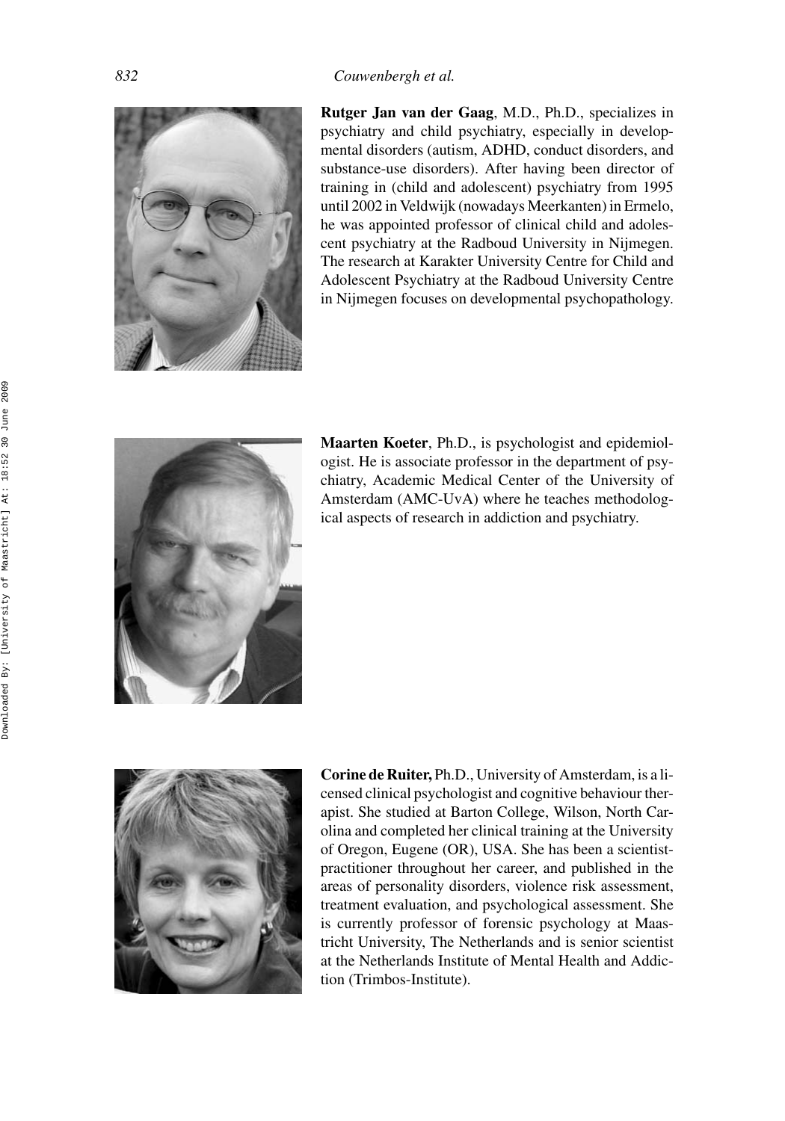

**Rutger Jan van der Gaag**, M.D., Ph.D., specializes in psychiatry and child psychiatry, especially in developmental disorders (autism, ADHD, conduct disorders, and substance-use disorders). After having been director of training in (child and adolescent) psychiatry from 1995 until 2002 in Veldwijk (nowadays Meerkanten) in Ermelo, he was appointed professor of clinical child and adolescent psychiatry at the Radboud University in Nijmegen. The research at Karakter University Centre for Child and Adolescent Psychiatry at the Radboud University Centre in Nijmegen focuses on developmental psychopathology.



**Maarten Koeter**, Ph.D., is psychologist and epidemiologist. He is associate professor in the department of psychiatry, Academic Medical Center of the University of Amsterdam (AMC-UvA) where he teaches methodological aspects of research in addiction and psychiatry.



**Corine de Ruiter,** Ph.D., University of Amsterdam, is a licensed clinical psychologist and cognitive behaviour therapist. She studied at Barton College, Wilson, North Carolina and completed her clinical training at the University of Oregon, Eugene (OR), USA. She has been a scientistpractitioner throughout her career, and published in the areas of personality disorders, violence risk assessment, treatment evaluation, and psychological assessment. She is currently professor of forensic psychology at Maastricht University, The Netherlands and is senior scientist at the Netherlands Institute of Mental Health and Addiction (Trimbos-Institute).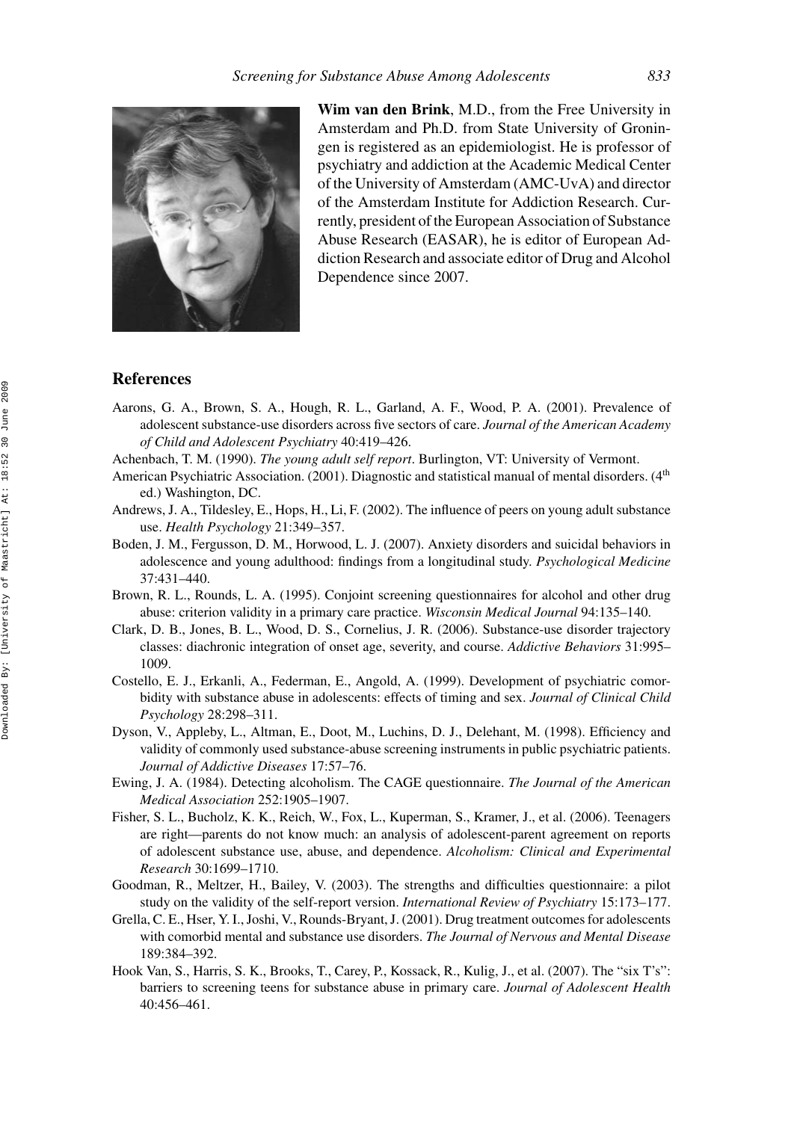

**Wim van den Brink**, M.D., from the Free University in Amsterdam and Ph.D. from State University of Groningen is registered as an epidemiologist. He is professor of psychiatry and addiction at the Academic Medical Center of the University of Amsterdam (AMC-UvA) and director of the Amsterdam Institute for Addiction Research. Currently, president of the European Association of Substance Abuse Research (EASAR), he is editor of European Addiction Research and associate editor of Drug and Alcohol Dependence since 2007.

#### **References**

- Aarons, G. A., Brown, S. A., Hough, R. L., Garland, A. F., Wood, P. A. (2001). Prevalence of adolescent substance-use disorders across five sectors of care. *Journal of the American Academy of Child and Adolescent Psychiatry* 40:419–426.
- Achenbach, T. M. (1990). *The young adult self report*. Burlington, VT: University of Vermont.
- American Psychiatric Association. (2001). Diagnostic and statistical manual of mental disorders. (4<sup>th</sup> ed.) Washington, DC.
- Andrews, J. A., Tildesley, E., Hops, H., Li, F. (2002). The influence of peers on young adult substance use. *Health Psychology* 21:349–357.
- Boden, J. M., Fergusson, D. M., Horwood, L. J. (2007). Anxiety disorders and suicidal behaviors in adolescence and young adulthood: findings from a longitudinal study. *Psychological Medicine* 37:431–440.
- Brown, R. L., Rounds, L. A. (1995). Conjoint screening questionnaires for alcohol and other drug abuse: criterion validity in a primary care practice. *Wisconsin Medical Journal* 94:135–140.
- Clark, D. B., Jones, B. L., Wood, D. S., Cornelius, J. R. (2006). Substance-use disorder trajectory classes: diachronic integration of onset age, severity, and course. *Addictive Behaviors* 31:995– 1009.
- Costello, E. J., Erkanli, A., Federman, E., Angold, A. (1999). Development of psychiatric comorbidity with substance abuse in adolescents: effects of timing and sex. *Journal of Clinical Child Psychology* 28:298–311.
- Dyson, V., Appleby, L., Altman, E., Doot, M., Luchins, D. J., Delehant, M. (1998). Efficiency and validity of commonly used substance-abuse screening instruments in public psychiatric patients. *Journal of Addictive Diseases* 17:57–76.
- Ewing, J. A. (1984). Detecting alcoholism. The CAGE questionnaire. *The Journal of the American Medical Association* 252:1905–1907.
- Fisher, S. L., Bucholz, K. K., Reich, W., Fox, L., Kuperman, S., Kramer, J., et al. (2006). Teenagers are right—parents do not know much: an analysis of adolescent-parent agreement on reports of adolescent substance use, abuse, and dependence. *Alcoholism: Clinical and Experimental Research* 30:1699–1710.
- Goodman, R., Meltzer, H., Bailey, V. (2003). The strengths and difficulties questionnaire: a pilot study on the validity of the self-report version. *International Review of Psychiatry* 15:173–177.
- Grella, C. E., Hser, Y. I., Joshi, V., Rounds-Bryant, J. (2001). Drug treatment outcomes for adolescents with comorbid mental and substance use disorders. *The Journal of Nervous and Mental Disease* 189:384–392.
- Hook Van, S., Harris, S. K., Brooks, T., Carey, P., Kossack, R., Kulig, J., et al. (2007). The "six T's": barriers to screening teens for substance abuse in primary care. *Journal of Adolescent Health* 40:456–461.